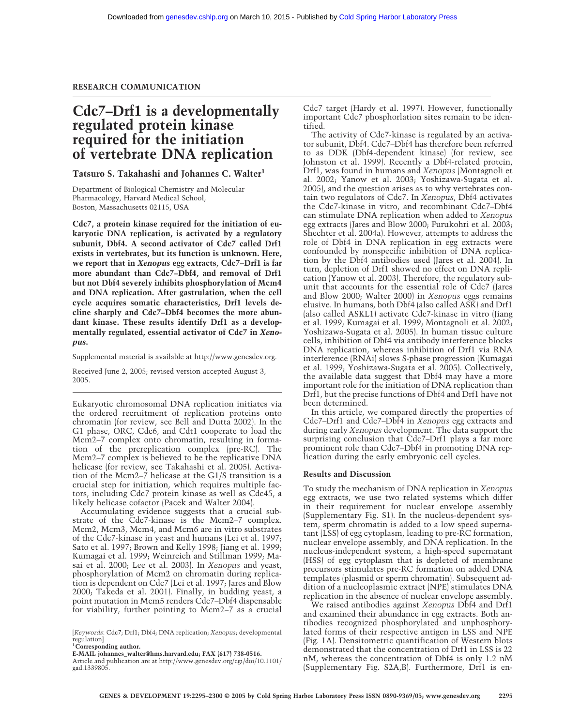## **Cdc7–Drf1 is a developmentally regulated protein kinase required for the initiation of vertebrate DNA replication**

## **Tatsuro S. Takahashi and Johannes C. Walter1**

Department of Biological Chemistry and Molecular Pharmacology, Harvard Medical School, Boston, Massachusetts 02115, USA

**Cdc7, a protein kinase required for the initiation of eukaryotic DNA replication, is activated by a regulatory subunit, Dbf4. A second activator of Cdc7 called Drf1 exists in vertebrates, but its function is unknown. Here, we report that in** *Xenopus* **egg extracts, Cdc7–Drf1 is far more abundant than Cdc7–Dbf4, and removal of Drf1 but not Dbf4 severely inhibits phosphorylation of Mcm4 and DNA replication. After gastrulation, when the cell cycle acquires somatic characteristics, Drf1 levels decline sharply and Cdc7–Dbf4 becomes the more abundant kinase. These results identify Drf1 as a developmentally regulated, essential activator of Cdc7 in** *Xenopus***.**

Supplemental material is available at http://www.genesdev.org.

Received June 2, 2005; revised version accepted August 3, 2005.

Eukaryotic chromosomal DNA replication initiates via the ordered recruitment of replication proteins onto chromatin (for review, see Bell and Dutta 2002). In the G1 phase, ORC, Cdc6, and Cdt1 cooperate to load the Mcm2–7 complex onto chromatin, resulting in formation of the prereplication complex (pre-RC). The Mcm2–7 complex is believed to be the replicative DNA helicase (for review, see Takahashi et al. 2005). Activation of the Mcm2–7 helicase at the G1/S transition is a crucial step for initiation, which requires multiple factors, including Cdc7 protein kinase as well as Cdc45, a likely helicase cofactor (Pacek and Walter 2004).

Accumulating evidence suggests that a crucial substrate of the Cdc7-kinase is the Mcm2–7 complex. Mcm2, Mcm3, Mcm4, and Mcm6 are in vitro substrates of the Cdc7-kinase in yeast and humans (Lei et al. 1997; Sato et al. 1997; Brown and Kelly 1998; Jiang et al. 1999; Kumagai et al. 1999; Weinreich and Stillman 1999; Masai et al. 2000; Lee et al. 2003). In *Xenopus* and yeast, phosphorylation of Mcm2 on chromatin during replication is dependent on Cdc7 (Lei et al. 1997; Jares and Blow 2000; Takeda et al. 2001). Finally, in budding yeast, a point mutation in Mcm5 renders Cdc7–Dbf4 dispensable for viability, further pointing to Mcm2–7 as a crucial

[*Keywords*: Cdc7; Drf1; Dbf4; DNA replication; *Xenopus*; developmental regulation]

Cdc7 target (Hardy et al. 1997). However, functionally important Cdc7 phosphorlation sites remain to be identified.

The activity of Cdc7-kinase is regulated by an activator subunit, Dbf4. Cdc7–Dbf4 has therefore been referred to as DDK (Dbf4-dependent kinase) (for review, see Johnston et al. 1999). Recently a Dbf4-related protein, Drf1, was found in humans and *Xenopus* (Montagnoli et al. 2002; Yanow et al. 2003; Yoshizawa-Sugata et al. 2005), and the question arises as to why vertebrates contain two regulators of Cdc7. In *Xenopus*, Dbf4 activates the Cdc7-kinase in vitro, and recombinant Cdc7–Dbf4 can stimulate DNA replication when added to *Xenopus* egg extracts (Jares and Blow 2000; Furukohri et al. 2003; Shechter et al. 2004a). However, attempts to address the role of Dbf4 in DNA replication in egg extracts were confounded by nonspecific inhibition of DNA replication by the Dbf4 antibodies used (Jares et al. 2004). In turn, depletion of Drf1 showed no effect on DNA replication (Yanow et al. 2003). Therefore, the regulatory subunit that accounts for the essential role of Cdc7 (Jares and Blow 2000; Walter 2000) in *Xenopus* eggs remains elusive. In humans, both Dbf4 (also called ASK) and Drf1 (also called ASKL1) activate Cdc7-kinase in vitro (Jiang et al. 1999; Kumagai et al. 1999; Montagnoli et al. 2002; Yoshizawa-Sugata et al. 2005). In human tissue culture cells, inhibition of Dbf4 via antibody interference blocks DNA replication, whereas inhibition of Drf1 via RNA interference (RNAi) slows S-phase progression (Kumagai et al. 1999; Yoshizawa-Sugata et al. 2005). Collectively, the available data suggest that Dbf4 may have a more important role for the initiation of DNA replication than Drf1, but the precise functions of Dbf4 and Drf1 have not been determined.

In this article, we compared directly the properties of Cdc7–Drf1 and Cdc7–Dbf4 in *Xenopus* egg extracts and during early *Xenopus* development. The data support the surprising conclusion that Cdc7–Drf1 plays a far more prominent role than Cdc7–Dbf4 in promoting DNA replication during the early embryonic cell cycles.

## **Results and Discussion**

To study the mechanism of DNA replication in *Xenopus* egg extracts, we use two related systems which differ in their requirement for nuclear envelope assembly (Supplementary Fig. S1). In the nucleus-dependent system, sperm chromatin is added to a low speed supernatant (LSS) of egg cytoplasm, leading to pre-RC formation, nuclear envelope assembly, and DNA replication. In the nucleus-independent system, a high-speed supernatant (HSS) of egg cytoplasm that is depleted of membrane precursors stimulates pre-RC formation on added DNA templates (plasmid or sperm chromatin). Subsequent addition of a nucleoplasmic extract (NPE) stimulates DNA replication in the absence of nuclear envelope assembly.

We raised antibodies against *Xenopus* Dbf4 and Drf1 and examined their abundance in egg extracts. Both antibodies recognized phosphorylated and unphosphorylated forms of their respective antigen in LSS and NPE (Fig. 1A). Densitometric quantification of Western blots demonstrated that the concentration of Drf1 in LSS is 22 nM, whereas the concentration of Dbf4 is only 1.2 nM (Supplementary Fig. S2A,B). Furthermore, Drf1 is en-

**<sup>1</sup> Corresponding author.**

**E-MAIL johannes\_walter@hms.harvard.edu; FAX (617) 738-0516.**

Article and publication are at http://www.genesdev.org/cgi/doi/10.1101/ gad.1339805.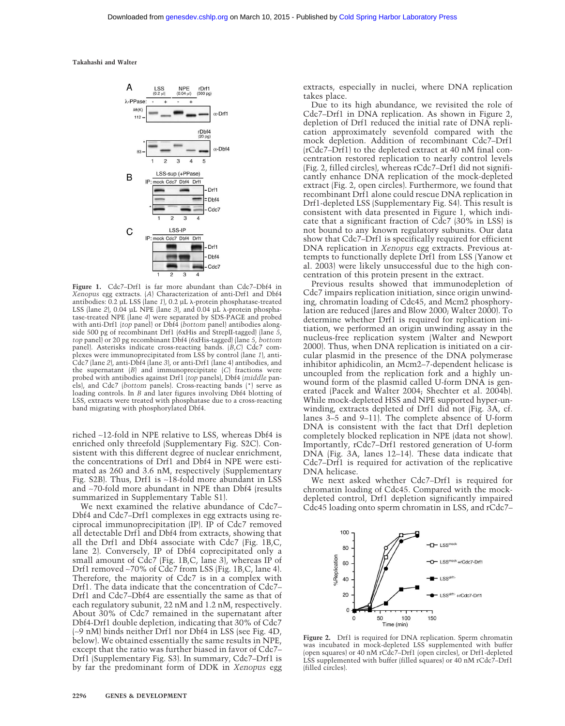**Takahashi and Walter**



**Figure 1.** Cdc7–Drf1 is far more abundant than Cdc7–Dbf4 in *Xenopus* egg extracts. (*A*) Characterization of anti-Drf1 and Dbf4 antibodies: 0.2 µL LSS (lane 1), 0.2 µL  $\lambda$ -protein phosphatase-treated LSS (lane  $2$ ), 0.04 µL NPE (lane  $3$ ), and 0.04 µL  $\lambda$ -protein phosphatase-treated NPE (lane *4*) were separated by SDS-PAGE and probed with anti-Drf1 (*top* panel) or Dbf4 (*bottom* panel) antibodies alongside 500 pg of recombinant Drf1 (6xHis and StrepII-tagged) (lane *5*, *top* panel) or 20 pg recombinant Dbf4 (6xHis-tagged) (lane *5*, *bottom* panel). Asterisks indicate cross-reacting bands. (*B*,*C*) Cdc7 complexes were immunoprecipitated from LSS by control (lane *1*), anti-Cdc7 (lane *2*), anti-Dbf4 (lane *3*), or anti-Drf1 (lane 4) antibodies, and the supernatant (*B*) and immunoprecipitate (*C*) fractions were probed with antibodies against Drf1 (*top* panels), Dbf4 (*middle* panels), and Cdc7 (*bottom* panels). Cross-reacting bands (\*) serve as loading controls. In *B* and later figures involving Dbf4 blotting of LSS, extracts were treated with phosphatase due to a cross-reacting band migrating with phosphorylated Dbf4.

riched ∼12-fold in NPE relative to LSS, whereas Dbf4 is enriched only threefold (Supplementary Fig. S2C). Consistent with this different degree of nuclear enrichment, the concentrations of Drf1 and Dbf4 in NPE were estimated as 260 and 3.6 nM, respectively (Supplementary Fig. S2B). Thus, Drf1 is ∼18-fold more abundant in LSS and ∼70-fold more abundant in NPE than Dbf4 (results summarized in Supplementary Table S1).

We next examined the relative abundance of Cdc7– Dbf4 and Cdc7–Drf1 complexes in egg extracts using reciprocal immunoprecipitation (IP). IP of Cdc7 removed all detectable Drf1 and Dbf4 from extracts, showing that all the Drf1 and Dbf4 associate with Cdc7 (Fig. 1B,C, lane 2). Conversely, IP of Dbf4 coprecipitated only a small amount of Cdc7 (Fig. 1B,C, lane 3), whereas IP of Drf1 removed ∼70% of Cdc7 from LSS (Fig. 1B,C, lane 4). Therefore, the majority of Cdc7 is in a complex with Drf1. The data indicate that the concentration of Cdc7– Drf1 and Cdc7–Dbf4 are essentially the same as that of each regulatory subunit, 22 nM and 1.2 nM, respectively. About 30% of Cdc7 remained in the supernatant after Dbf4-Drf1 double depletion, indicating that 30% of Cdc7 (∼9 nM) binds neither Drf1 nor Dbf4 in LSS (see Fig. 4D, below). We obtained essentially the same results in NPE, except that the ratio was further biased in favor of Cdc7– Drf1 (Supplementary Fig. S3). In summary, Cdc7–Drf1 is by far the predominant form of DDK in *Xenopus* egg extracts, especially in nuclei, where DNA replication takes place.

Due to its high abundance, we revisited the role of Cdc7–Drf1 in DNA replication. As shown in Figure 2, depletion of Drf1 reduced the initial rate of DNA replication approximately sevenfold compared with the mock depletion. Addition of recombinant Cdc7–Drf1 (rCdc7–Drf1) to the depleted extract at 40 nM final concentration restored replication to nearly control levels (Fig. 2, filled circles), whereas rCdc7–Drf1 did not significantly enhance DNA replication of the mock-depleted extract (Fig. 2, open circles). Furthermore, we found that recombinant Drf1 alone could rescue DNA replication in Drf1-depleted LSS (Supplementary Fig. S4). This result is consistent with data presented in Figure 1, which indicate that a significant fraction of Cdc7 (30% in LSS) is not bound to any known regulatory subunits. Our data show that Cdc7–Drf1 is specifically required for efficient DNA replication in *Xenopus* egg extracts. Previous attempts to functionally deplete Drf1 from LSS (Yanow et al. 2003) were likely unsuccessful due to the high concentration of this protein present in the extract.

Previous results showed that immunodepletion of Cdc7 impairs replication initiation, since origin unwinding, chromatin loading of Cdc45, and Mcm2 phosphorylation are reduced (Jares and Blow 2000; Walter 2000). To determine whether Drf1 is required for replication initiation, we performed an origin unwinding assay in the nucleus-free replication system (Walter and Newport 2000). Thus, when DNA replication is initiated on a circular plasmid in the presence of the DNA polymerase inhibitor aphidicolin, an Mcm2–7-dependent helicase is uncoupled from the replication fork and a highly unwound form of the plasmid called U-form DNA is generated (Pacek and Walter 2004; Shechter et al. 2004b). While mock-depleted HSS and NPE supported hyper-unwinding, extracts depleted of Drf1 did not (Fig. 3A, cf. lanes 3–5 and 9–11). The complete absence of U-form DNA is consistent with the fact that Drf1 depletion completely blocked replication in NPE (data not show). Importantly, rCdc7–Drf1 restored generation of U-form DNA (Fig. 3A, lanes 12–14). These data indicate that Cdc7–Drf1 is required for activation of the replicative DNA helicase.

We next asked whether Cdc7–Drf1 is required for chromatin loading of Cdc45. Compared with the mockdepleted control, Drf1 depletion significantly impaired Cdc45 loading onto sperm chromatin in LSS, and rCdc7–



**Figure 2.** Drf1 is required for DNA replication. Sperm chromatin was incubated in mock-depleted LSS supplemented with buffer (open squares) or 40 nM rCdc7–Drf1 (open circles), or Drf1-depleted LSS supplemented with buffer (filled squares) or 40 nM rCdc7–Drf1 (filled circles).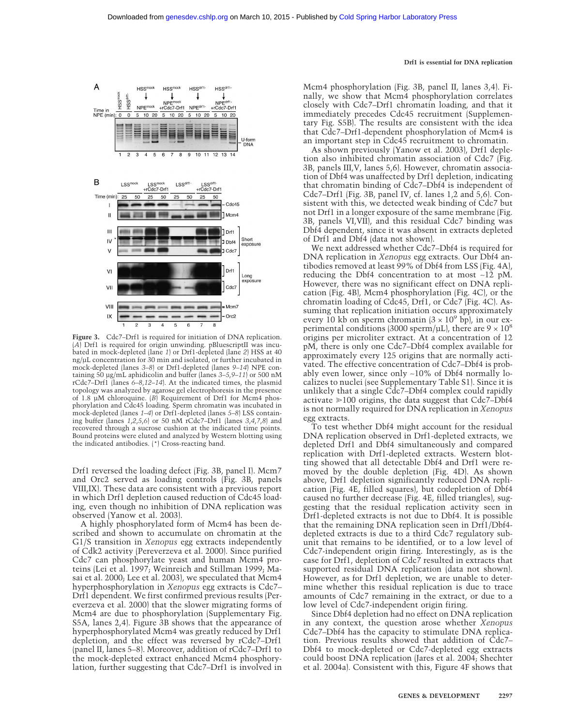#### **Drf1 is essential for DNA replication**



**Figure 3.** Cdc7–Drf1 is required for initiation of DNA replication. (*A*) Drf1 is required for origin unwinding. pBluescriptII was incubated in mock-depleted (lane *1*) or Drf1-depleted (lane *2*) HSS at 40 ng/µL concentration for 30 min and isolated, or further incubated in mock-depleted (lanes *3*–*8*) or Drf1-depleted (lanes *9*–*14*) NPE containing 50 µg/mL aphidicolin and buffer (lanes *3*–*5*,*9*–*11*) or 500 nM rCdc7–Drf1 (lanes *6*–*8*,*12*–*14*). At the indicated times, the plasmid topology was analyzed by agarose gel electrophoresis in the presence of 1.8 µM chloroquine. (*B*) Requirement of Drf1 for Mcm4 phosphorylation and Cdc45 loading. Sperm chromatin was incubated in mock-depleted (lanes *1*–*4*) or Drf1-depleted (lanes *5*–*8*) LSS containing buffer (lanes *1*,*2*,*5*,*6*) or 50 nM rCdc7–Drf1 (lanes *3*,*4*,*7*,*8*) and recovered through a sucrose cushion at the indicated time points. Bound proteins were eluted and analyzed by Western blotting using the indicated antibodies. (\*) Cross-reacting band.

Drf1 reversed the loading defect (Fig. 3B, panel I). Mcm7 and Orc2 served as loading controls (Fig. 3B, panels VIII,IX). These data are consistent with a previous report in which Drf1 depletion caused reduction of Cdc45 loading, even though no inhibition of DNA replication was observed (Yanow et al. 2003).

A highly phosphorylated form of Mcm4 has been described and shown to accumulate on chromatin at the G1/S transition in *Xenopus* egg extracts independently of Cdk2 activity (Pereverzeva et al. 2000). Since purified Cdc7 can phosphorylate yeast and human Mcm4 proteins (Lei et al. 1997; Weinreich and Stillman 1999; Masai et al. 2000; Lee et al. 2003), we speculated that Mcm4 hyperphosphorylation in *Xenopus* egg extracts is Cdc7– Drf1 dependent. We first confirmed previous results (Pereverzeva et al. 2000) that the slower migrating forms of Mcm4 are due to phosphorylation (Supplementary Fig. S5A, lanes 2,4). Figure 3B shows that the appearance of hyperphosphorylated Mcm4 was greatly reduced by Drf1 depletion, and the effect was reversed by rCdc7–Drf1 (panel II, lanes 5–8). Moreover, addition of rCdc7–Drf1 to the mock-depleted extract enhanced Mcm4 phosphorylation, further suggesting that Cdc7–Drf1 is involved in Mcm4 phosphorylation (Fig. 3B, panel II, lanes 3,4). Finally, we show that Mcm4 phosphorylation correlates closely with Cdc7–Drf1 chromatin loading, and that it immediately precedes Cdc45 recruitment (Supplementary Fig. S5B). The results are consistent with the idea that Cdc7–Drf1-dependent phosphorylation of Mcm4 is an important step in Cdc45 recruitment to chromatin.

As shown previously (Yanow et al. 2003), Drf1 depletion also inhibited chromatin association of Cdc7 (Fig. 3B, panels III,V, lanes 5,6). However, chromatin association of Dbf4 was unaffected by Drf1 depletion, indicating that chromatin binding of Cdc7–Dbf4 is independent of Cdc7–Drf1 (Fig. 3B, panel IV, cf. lanes 1,2 and 5,6). Consistent with this, we detected weak binding of Cdc7 but not Drf1 in a longer exposure of the same membrane (Fig. 3B, panels VI,VII), and this residual Cdc7 binding was Dbf4 dependent, since it was absent in extracts depleted of Drf1 and Dbf4 (data not shown).

We next addressed whether Cdc7–Dbf4 is required for DNA replication in *Xenopus* egg extracts. Our Dbf4 antibodies removed at least 99% of Dbf4 from LSS (Fig. 4A), reducing the Dbf4 concentration to at most ∼12 pM. However, there was no significant effect on DNA replication (Fig. 4B), Mcm4 phosphorylation (Fig. 4C), or the chromatin loading of Cdc45, Drf1, or Cdc7 (Fig. 4C). Assuming that replication initiation occurs approximately every 10 kb on sperm chromatin  $(3 \times 10^9 \text{ bp})$ , in our experimental conditions (3000 sperm/µL), there are  $9 \times 10^8$ origins per microliter extract. At a concentration of 12 pM, there is only one Cdc7–Dbf4 complex available for approximately every 125 origins that are normally activated. The effective concentration of Cdc7–Dbf4 is probably even lower, since only ∼10% of Dbf4 normally localizes to nuclei (see Supplementary Table S1). Since it is unlikely that a single Cdc7–Dbf4 complex could rapidly activate  $\geq 100$  origins, the data suggest that Cdc7–Dbf4 is not normally required for DNA replication in *Xenopus* egg extracts.

To test whether Dbf4 might account for the residual DNA replication observed in Drf1-depleted extracts, we depleted Drf1 and Dbf4 simultaneously and compared replication with Drf1-depleted extracts. Western blotting showed that all detectable Dbf4 and Drf1 were removed by the double depletion (Fig. 4D). As shown above, Drf1 depletion significantly reduced DNA replication (Fig. 4E, filled squares), but codepletion of Dbf4 caused no further decrease (Fig. 4E, filled triangles), suggesting that the residual replication activity seen in Drf1-depleted extracts is not due to Dbf4. It is possible that the remaining DNA replication seen in Drf1/Dbf4 depleted extracts is due to a third Cdc7 regulatory subunit that remains to be identified, or to a low level of Cdc7-independent origin firing. Interestingly, as is the case for Drf1, depletion of Cdc7 resulted in extracts that supported residual DNA replication (data not shown). However, as for Drf1 depletion, we are unable to determine whether this residual replication is due to trace amounts of Cdc7 remaining in the extract, or due to a low level of Cdc7-independent origin firing.

Since Dbf4 depletion had no effect on DNA replication in any context, the question arose whether *Xenopus* Cdc7–Dbf4 has the capacity to stimulate DNA replication. Previous results showed that addition of Cdc7– Dbf4 to mock-depleted or Cdc7-depleted egg extracts could boost DNA replication (Jares et al. 2004; Shechter et al. 2004a). Consistent with this, Figure 4F shows that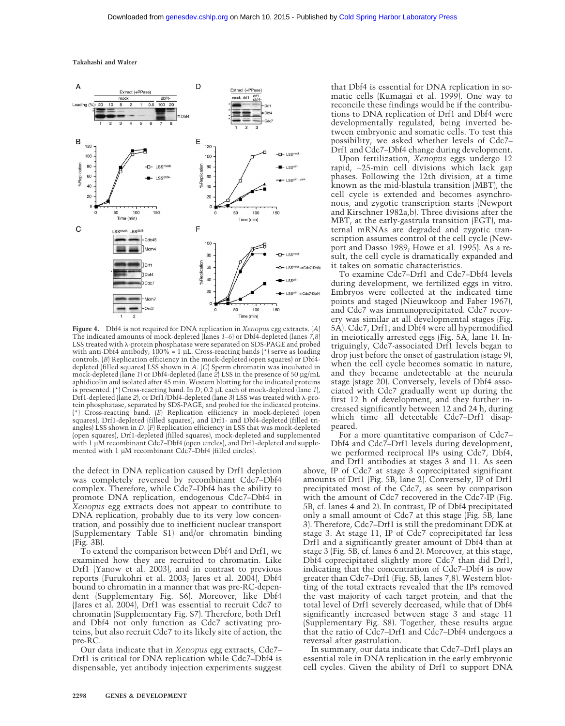**Takahashi and Walter**



**Figure 4.** Dbf4 is not required for DNA replication in *Xenopus* egg extracts. (*A*) The indicated amounts of mock-depleted (lanes *1*–*6*) or Dbf4-depleted (lanes *7*,*8*) LSS treated with  $\lambda$ -protein phosphatase were separated on SDS-PAGE and probed with anti-Dbf4 antibody; 100% = 1 µL. Cross-reacting bands (\*) serve as loading controls. (*B*) Replication efficiency in the mock-depleted (open squares) or Dbf4 depleted (filled squares) LSS shown in *A*. (*C*) Sperm chromatin was incubated in mock-depleted (lane *1*) or Dbf4-depleted (lane *2*) LSS in the presence of 50 µg/mL aphidicolin and isolated after 45 min. Western blotting for the indicated proteins is presented. (\*) Cross-reacting band. In *D*, 0.2 µL each of mock-depleted (lane *1*), Drf1-depleted (lane 2), or Drf1/Dbf4-depleted (lane 3) LSS was treated with λ-protein phosphatase, separated by SDS-PAGE, and probed for the indicated proteins. (\*) Cross-reacting band. (*E*) Replication efficiency in mock-depleted (open squares), Drf1-depleted (filled squares), and Drf1- and Dbf4-depleted (filled triangles) LSS shown in *D*. (*F*) Replication efficiency in LSS that was mock-depleted (open squares), Drf1-depleted (filled squares), mock-depleted and supplemented with 1 µM recombinant Cdc7–Dbf4 (open circles), and Drf1-depleted and supplemented with 1 µM recombinant Cdc7–Dbf4 (filled circles).

the defect in DNA replication caused by Drf1 depletion was completely reversed by recombinant Cdc7–Dbf4 complex. Therefore, while Cdc7–Dbf4 has the ability to promote DNA replication, endogenous Cdc7–Dbf4 in *Xenopus* egg extracts does not appear to contribute to DNA replication, probably due to its very low concentration, and possibly due to inefficient nuclear transport (Supplementary Table S1) and/or chromatin binding (Fig. 3B).

To extend the comparison between Dbf4 and Drf1, we examined how they are recruited to chromatin. Like Drf1 (Yanow et al. 2003), and in contrast to previous reports (Furukohri et al. 2003; Jares et al. 2004), Dbf4 bound to chromatin in a manner that was pre-RC-dependent (Supplementary Fig. S6). Moreover, like Dbf4 (Jares et al. 2004), Drf1 was essential to recruit Cdc7 to chromatin (Supplementary Fig. S7). Therefore, both Drf1 and Dbf4 not only function as Cdc7 activating proteins, but also recruit Cdc7 to its likely site of action, the pre-RC.

Our data indicate that in *Xenopus* egg extracts, Cdc7– Drf1 is critical for DNA replication while Cdc7–Dbf4 is dispensable, yet antibody injection experiments suggest

that Dbf4 is essential for DNA replication in somatic cells (Kumagai et al. 1999). One way to reconcile these findings would be if the contributions to DNA replication of Drf1 and Dbf4 were developmentally regulated, being inverted between embryonic and somatic cells. To test this possibility, we asked whether levels of Cdc7– Drf1 and Cdc7–Dbf4 change during development.

Upon fertilization, *Xenopus* eggs undergo 12 rapid, ∼25-min cell divisions which lack gap phases. Following the 12th division, at a time known as the mid-blastula transition (MBT), the cell cycle is extended and becomes asynchronous, and zygotic transcription starts (Newport and Kirschner 1982a,b). Three divisions after the MBT, at the early-gastrula transition (EGT), maternal mRNAs are degraded and zygotic transcription assumes control of the cell cycle (Newport and Dasso 1989; Howe et al. 1995). As a result, the cell cycle is dramatically expanded and it takes on somatic characteristics.

To examine Cdc7–Drf1 and Cdc7–Dbf4 levels during development, we fertilized eggs in vitro. Embryos were collected at the indicated time points and staged (Nieuwkoop and Faber 1967), and Cdc7 was immunoprecipitated. Cdc7 recovery was similar at all developmental stages (Fig. 5A). Cdc7, Drf1, and Dbf4 were all hypermodified in meiotically arrested eggs (Fig. 5A, lane 1). Intriguingly, Cdc7-associated Drf1 levels began to drop just before the onset of gastrulation (stage 9), when the cell cycle becomes somatic in nature, and they became undetectable at the neurula stage (stage 20). Conversely, levels of Dbf4 associated with Cdc7 gradually went up during the first 12 h of development, and they further increased significantly between 12 and 24 h, during which time all detectable Cdc7–Drf1 disappeared.

For a more quantitative comparison of Cdc7– Dbf4 and Cdc7–Drf1 levels during development, we performed reciprocal IPs using Cdc7, Dbf4, and Drf1 antibodies at stages 3 and 11. As seen above, IP of Cdc7 at stage 3 coprecipitated significant amounts of Drf1 (Fig. 5B, lane 2). Conversely, IP of Drf1 precipitated most of the Cdc7, as seen by comparison with the amount of Cdc7 recovered in the Cdc7-IP (Fig. 5B, cf. lanes 4 and 2). In contrast, IP of Dbf4 precipitated only a small amount of Cdc7 at this stage (Fig. 5B, lane 3). Therefore, Cdc7–Drf1 is still the predominant DDK at stage 3. At stage 11, IP of Cdc7 coprecipitated far less Drf1 and a significantly greater amount of Dbf4 than at stage 3 (Fig. 5B, cf. lanes 6 and 2). Moreover, at this stage, Dbf4 coprecipitated slightly more Cdc7 than did Drf1, indicating that the concentration of Cdc7–Dbf4 is now greater than Cdc7–Drf1 (Fig. 5B, lanes 7,8). Western blotting of the total extracts revealed that the IPs removed the vast majority of each target protein, and that the total level of Drf1 severely decreased, while that of Dbf4 significantly increased between stage 3 and stage 11 (Supplementary Fig. S8). Together, these results argue that the ratio of Cdc7–Drf1 and Cdc7–Dbf4 undergoes a reversal after gastrulation.

In summary, our data indicate that Cdc7–Drf1 plays an essential role in DNA replication in the early embryonic cell cycles. Given the ability of Drf1 to support DNA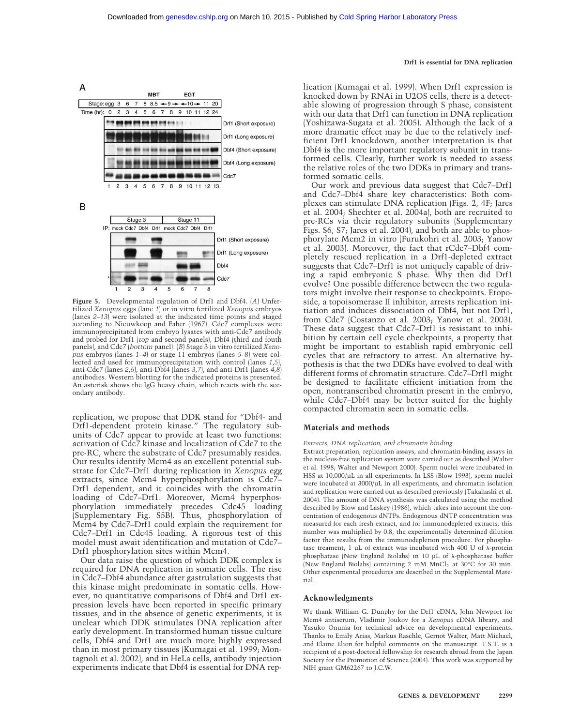#### **Drf1 is essential for DNA replication**



**Figure 5.** Developmental regulation of Drf1 and Dbf4. (*A*) Unfertilized *Xenopus* eggs (lane *1*) or in vitro fertilized *Xenopus* embryos (lanes *2*–*13*) were isolated at the indicated time points and staged according to Nieuwkoop and Faber (1967). Cdc7 complexes were immunoprecipitated from embryo lysates with anti-Cdc7 antibody and probed for Drf1 (*top* and second panels), Dbf4 (third and fouth panels), and Cdc7 (*bottom* panel). (*B*) Stage 3 in vitro fertilized *Xenopus* embryos (lanes *1*–*4*) or stage 11 embryos (lanes *5*–*8*) were collected and used for immunoprecipitation with control (lanes *1*,*5*), anti-Cdc7 (lanes *2*,*6*), anti-Dbf4 (lanes *3*,*7*), and anti-Drf1 (lanes *4*,*8*) antibodies. Western blotting for the indicated proteins is presented. An asterisk shows the IgG heavy chain, which reacts with the secondary antibody.

replication, we propose that DDK stand for "Dbf4- and Drf1-dependent protein kinase." The regulatory subunits of Cdc7 appear to provide at least two functions: activation of Cdc7 kinase and localization of Cdc7 to the pre-RC, where the substrate of Cdc7 presumably resides. Our results identify Mcm4 as an excellent potential substrate for Cdc7–Drf1 during replication in *Xenopus* egg extracts, since Mcm4 hyperphosphorylation is Cdc7– Drf1 dependent, and it coincides with the chromatin loading of Cdc7–Drf1. Moreover, Mcm4 hyperphosphorylation immediately precedes Cdc45 loading (Supplementary Fig. S5B). Thus, phosphorylation of Mcm4 by Cdc7–Drf1 could explain the requirement for Cdc7–Drf1 in Cdc45 loading. A rigorous test of this model must await identification and mutation of Cdc7– Drf1 phosphorylation sites within Mcm4.

Our data raise the question of which DDK complex is required for DNA replication in somatic cells. The rise in Cdc7–Dbf4 abundance after gastrulation suggests that this kinase might predominate in somatic cells. However, no quantitative comparisons of Dbf4 and Drf1 expression levels have been reported in specific primary tissues, and in the absence of genetic experiments, it is unclear which DDK stimulates DNA replication after early development. In transformed human tissue culture cells, Dbf4 and Drf1 are much more highly expressed than in most primary tissues (Kumagai et al. 1999; Montagnoli et al. 2002), and in HeLa cells, antibody injection experiments indicate that Dbf4 is essential for DNA replication (Kumagai et al. 1999). When Drf1 expression is knocked down by RNAi in U2OS cells, there is a detectable slowing of progression through S phase, consistent with our data that Drf1 can function in DNA replication (Yoshizawa-Sugata et al. 2005). Although the lack of a more dramatic effect may be due to the relatively inefficient Drf1 knockdown, another interpretation is that Dbf4 is the more important regulatory subunit in transformed cells. Clearly, further work is needed to assess the relative roles of the two DDKs in primary and transformed somatic cells.

Our work and previous data suggest that Cdc7–Drf1 and Cdc7–Dbf4 share key characteristics: Both complexes can stimulate DNA replication (Figs. 2, 4F; Jares et al. 2004; Shechter et al. 2004a), both are recruited to pre-RCs via their regulatory subunits (Supplementary Figs. S6, S7; Jares et al. 2004), and both are able to phosphorylate Mcm2 in vitro (Furukohri et al. 2003; Yanow et al. 2003). Moreover, the fact that rCdc7–Dbf4 completely rescued replication in a Drf1-depleted extract suggests that Cdc7–Drf1 is not uniquely capable of driving a rapid embryonic S phase. Why then did Drf1 evolve? One possible difference between the two regulators might involve their response to checkpoints. Etoposide, a topoisomerase II inhibitor, arrests replication initiation and induces dissociation of Dbf4, but not Drf1, from Cdc7 (Costanzo et al. 2003; Yanow et al. 2003). These data suggest that Cdc7–Drf1 is resistant to inhibition by certain cell cycle checkpoints, a property that might be important to establish rapid embryonic cell cycles that are refractory to arrest. An alternative hypothesis is that the two DDKs have evolved to deal with different forms of chromatin structure. Cdc7–Drf1 might be designed to facilitate efficient initiation from the open, nontranscribed chromatin present in the embryo, while Cdc7–Dbf4 may be better suited for the highly compacted chromatin seen in somatic cells.

## **Materials and methods**

#### *Extracts, DNA replication, and chromatin binding*

Extract preparation, replication assays, and chromatin-binding assays in the nucleus-free replication system were carried out as described (Walter et al. 1998; Walter and Newport 2000). Sperm nuclei were incubated in HSS at 10,000/µL in all experiments. In LSS (Blow 1993), sperm nuclei were incubated at 3000/µL in all experiments, and chromatin isolation and replication were carried out as described previously (Takahashi et al. 2004). The amount of DNA synthesis was calculated using the method described by Blow and Laskey (1986), which takes into account the concentration of endogenous dNTPs. Endogenous dNTP concentration was measured for each fresh extract, and for immunodepleted extracts, this number was multiplied by 0.8, the experimentally determined dilution factor that results from the immunodepletion procedure. For phosphatase treament, 1 µL of extract was incubated with 400 U of  $\lambda$ -protein phosphatase (New England Biolabs) in 10  $\mu$ L of  $\lambda$ -phosphatase buffer (New England Biolabs) containing 2 mM MnCl<sub>2</sub> at 30°C for 30 min. Other experimental procedures are described in the Supplemental Material.

### **Acknowledgments**

We thank William G. Dunphy for the Drf1 cDNA, John Newport for Mcm4 antiserum, Vladimir Joukov for a *Xenopus* cDNA library, and Yasuko Onuma for technical advice on developmental experiments. Thanks to Emily Arias, Markus Raschle, Gernot Walter, Matt Michael, and Elaine Elion for helpful comments on the manuscript. T.S.T. is a recipient of a post-doctoral fellowship for research abroad from the Japan Society for the Promotion of Science (2004). This work was supported by NIH grant GM62267 to J.C.W.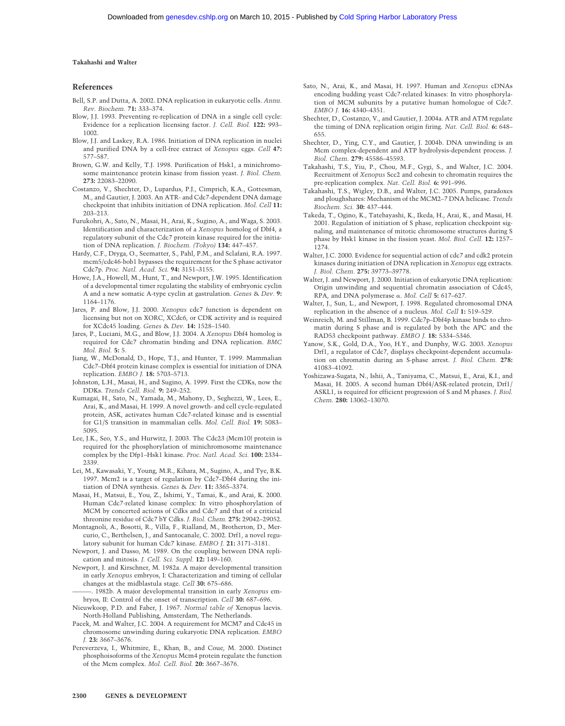## **Takahashi and Walter**

### **References**

- Bell, S.P. and Dutta, A. 2002. DNA replication in eukaryotic cells. *Annu. Rev. Biochem.* **71:** 333–374.
- Blow, J.J. 1993. Preventing re-replication of DNA in a single cell cycle: Evidence for a replication licensing factor. *J. Cell. Biol.* **122:** 993– 1002.
- Blow, J.J. and Laskey, R.A. 1986. Initiation of DNA replication in nuclei and purified DNA by a cell-free extract of *Xenopus* eggs. *Cell* **47:** 577–587.
- Brown, G.W. and Kelly, T.J. 1998. Purification of Hsk1, a minichromosome maintenance protein kinase from fission yeast. *J. Biol. Chem.* **273:** 22083–22090.
- Costanzo, V., Shechter, D., Lupardus, P.J., Cimprich, K.A., Gottesman, M., and Gautier, J. 2003. An ATR- and Cdc7-dependent DNA damage checkpoint that inhibits initiation of DNA replication. *Mol. Cell* **11:** 203–213.
- Furukohri, A., Sato, N., Masai, H., Arai, K., Sugino, A., and Waga, S. 2003. Identification and characterization of a *Xenopus* homolog of Dbf4, a regulatory subunit of the Cdc7 protein kinase required for the initiation of DNA replication. *J. Biochem. (Tokyo)* **134:** 447–457.
- Hardy, C.F., Dryga, O., Seematter, S., Pahl, P.M., and Sclafani, R.A. 1997. mcm5/cdc46-bob1 bypasses the requirement for the S phase activator Cdc7p. *Proc. Natl. Acad. Sci.* **94:** 3151–3155.
- Howe, J.A., Howell, M., Hunt, T., and Newport, J.W. 1995. Identification of a developmental timer regulating the stability of embryonic cyclin A and a new somatic A-type cyclin at gastrulation. *Genes* & *Dev.* **9:** 1164–1176.
- Jares, P. and Blow, J.J. 2000. *Xenopus* cdc7 function is dependent on licensing but not on XORC, XCdc6, or CDK activity and is required for XCdc45 loading. *Genes* & *Dev.* **14:** 1528–1540.
- Jares, P., Luciani, M.G., and Blow, J.J. 2004. A *Xenopus* Dbf4 homolog is required for Cdc7 chromatin binding and DNA replication. *BMC Mol. Biol.* **5:** 5.
- Jiang, W., McDonald, D., Hope, T.J., and Hunter, T. 1999. Mammalian Cdc7–Dbf4 protein kinase complex is essential for initiation of DNA replication. *EMBO J.* **18:** 5703–5713.
- Johnston, L.H., Masai, H., and Sugino, A. 1999. First the CDKs, now the DDKs. *Trends Cell. Biol.* **9:** 249–252.
- Kumagai, H., Sato, N., Yamada, M., Mahony, D., Seghezzi, W., Lees, E., Arai, K., and Masai, H. 1999. A novel growth- and cell cycle-regulated protein, ASK, activates human Cdc7-related kinase and is essential for G1/S transition in mammalian cells. *Mol. Cell. Biol.* **19:** 5083– 5095.
- Lee, J.K., Seo, Y.S., and Hurwitz, J. 2003. The Cdc23 (Mcm10) protein is required for the phosphorylation of minichromosome maintenance complex by the Dfp1–Hsk1 kinase. *Proc. Natl. Acad. Sci.* **100:** 2334– 2339.
- Lei, M., Kawasaki, Y., Young, M.R., Kihara, M., Sugino, A., and Tye, B.K. 1997. Mcm2 is a target of regulation by Cdc7–Dbf4 during the initiation of DNA synthesis. *Genes* & *Dev.* **11:** 3365–3374.
- Masai, H., Matsui, E., You, Z., Ishimi, Y., Tamai, K., and Arai, K. 2000. Human Cdc7-related kinase complex: In vitro phosphorylation of MCM by concerted actions of Cdks and Cdc7 and that of a criticial threonine residue of Cdc7 bY Cdks. *J. Biol. Chem.* **275:** 29042–29052.
- Montagnoli, A., Bosotti, R., Villa, F., Rialland, M., Brotherton, D., Mercurio, C., Berthelsen, J., and Santocanale, C. 2002. Drf1, a novel regulatory subunit for human Cdc7 kinase. *EMBO J.* **21:** 3171–3181.
- Newport, J. and Dasso, M. 1989. On the coupling between DNA replication and mitosis. *J. Cell. Sci. Suppl.* **12:** 149–160.
- Newport, J. and Kirschner, M. 1982a. A major developmental transition in early *Xenopus* embryos, I: Characterization and timing of cellular changes at the midblastula stage. *Cell* **30:** 675–686.
- 1982b. A major developmental transition in early *Xenopus* embryos, II: Control of the onset of transcription. *Cell* **30:** 687–696.
- Nieuwkoop, P.D. and Faber, J. 1967. *Normal table of* Xenopus laevis. North-Holland Publishing, Amsterdam, The Netherlands.
- Pacek, M. and Walter, J.C. 2004. A requirement for MCM7 and Cdc45 in chromosome unwinding during eukaryotic DNA replication. *EMBO J.* **23:** 3667–3676.
- Pereverzeva, I., Whitmire, E., Khan, B., and Coue, M. 2000. Distinct phosphoisoforms of the *Xenopus* Mcm4 protein regulate the function of the Mcm complex. *Mol. Cell. Biol.* **20:** 3667–3676.
- Sato, N., Arai, K., and Masai, H. 1997. Human and *Xenopus* cDNAs encoding budding yeast Cdc7-related kinases: In vitro phosphorylation of MCM subunits by a putative human homologue of Cdc7. *EMBO J.* **16:** 4340–4351.
- Shechter, D., Costanzo, V., and Gautier, J. 2004a. ATR and ATM regulate the timing of DNA replication origin firing. *Nat. Cell. Biol.* **6:** 648– 655.
- Shechter, D., Ying, C.Y., and Gautier, J. 2004b. DNA unwinding is an Mcm complex-dependent and ATP hydrolysis-dependent process. *J. Biol. Chem.* **279:** 45586–45593.
- Takahashi, T.S., Yiu, P., Chou, M.F., Gygi, S., and Walter, J.C. 2004. Recruitment of *Xenopus* Scc2 and cohesin to chromatin requires the pre-replication complex. *Nat. Cell. Biol.* **6:** 991–996.
- Takahashi, T.S., Wigley, D.B., and Walter, J.C. 2005. Pumps, paradoxes and ploughshares: Mechanism of the MCM2–7 DNA helicase. *Trends Biochem. Sci.* **30:** 437–444.
- Takeda, T., Ogino, K., Tatebayashi, K., Ikeda, H., Arai, K., and Masai, H. 2001. Regulation of initiation of S phase, replication checkpoint signaling, and maintenance of mitotic chromosome structures during S phase by Hsk1 kinase in the fission yeast. *Mol. Biol. Cell.* **12:** 1257– 1274.
- Walter, J.C. 2000. Evidence for sequential action of cdc7 and cdk2 protein kinases during initiation of DNA replication in *Xenopus* egg extracts. *J. Biol. Chem.* **275:** 39773–39778.
- Walter, J. and Newport, J. 2000. Initiation of eukaryotic DNA replication: Origin unwinding and sequential chromatin association of Cdc45, RPA, and DNA polymerase . *Mol. Cell* **5:** 617–627.
- Walter, J., Sun, L., and Newport, J. 1998. Regulated chromosomal DNA replication in the absence of a nucleus. *Mol. Cell* **1:** 519–529.
- Weinreich, M. and Stillman, B. 1999. Cdc7p–Dbf4p kinase binds to chromatin during S phase and is regulated by both the APC and the RAD53 checkpoint pathway. *EMBO J.* **18:** 5334–5346.
- Yanow, S.K., Gold, D.A., Yoo, H.Y., and Dunphy, W.G. 2003. *Xenopus* Drf1, a regulator of Cdc7, displays checkpoint-dependent accumulation on chromatin during an S-phase arrest. *J. Biol. Chem.* **278:** 41083–41092.
- Yoshizawa-Sugata, N., Ishii, A., Taniyama, C., Matsui, E., Arai, K.I., and Masai, H. 2005. A second human Dbf4/ASK-related protein, Drf1/ ASKL1, is required for efficient progression of S and M phases. *J. Biol. Chem.* **280:** 13062–13070.